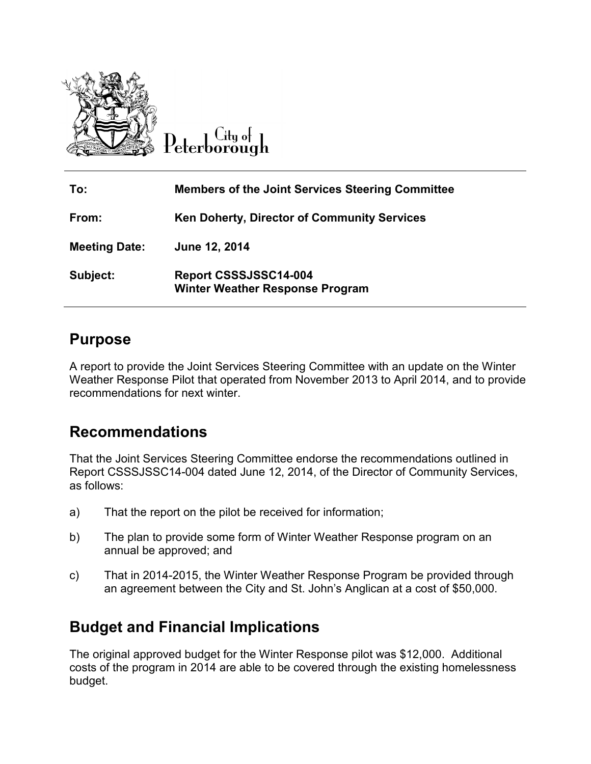

City of Peterborough

| To:                  | <b>Members of the Joint Services Steering Committee</b>         |
|----------------------|-----------------------------------------------------------------|
| From:                | <b>Ken Doherty, Director of Community Services</b>              |
| <b>Meeting Date:</b> | June 12, 2014                                                   |
| Subject:             | Report CSSSJSSC14-004<br><b>Winter Weather Response Program</b> |

### **Purpose**

A report to provide the Joint Services Steering Committee with an update on the Winter Weather Response Pilot that operated from November 2013 to April 2014, and to provide recommendations for next winter.

## **Recommendations**

That the Joint Services Steering Committee endorse the recommendations outlined in Report CSSSJSSC14-004 dated June 12, 2014, of the Director of Community Services, as follows:

- a) That the report on the pilot be received for information;
- b) The plan to provide some form of Winter Weather Response program on an annual be approved; and
- c) That in 2014-2015, the Winter Weather Response Program be provided through an agreement between the City and St. John's Anglican at a cost of \$50,000.

# **Budget and Financial Implications**

The original approved budget for the Winter Response pilot was \$12,000. Additional costs of the program in 2014 are able to be covered through the existing homelessness budget.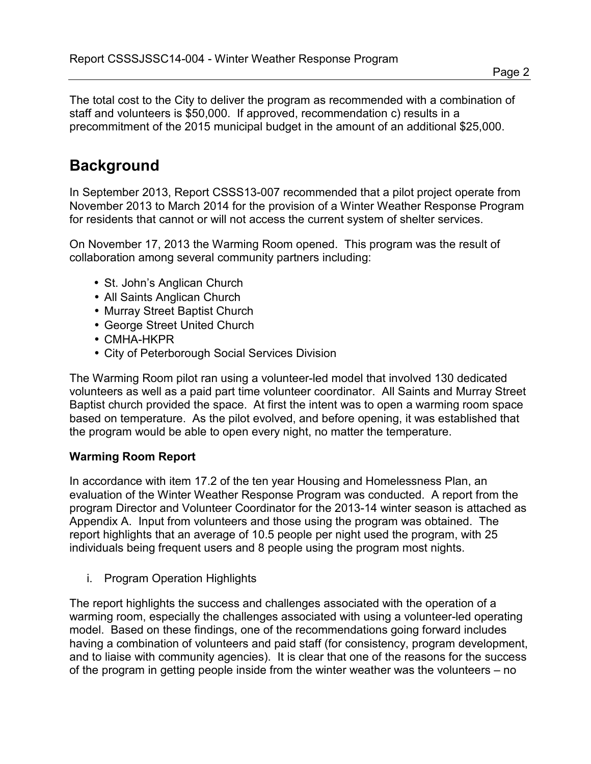Page 2

The total cost to the City to deliver the program as recommended with a combination of staff and volunteers is \$50,000. If approved, recommendation c) results in a precommitment of the 2015 municipal budget in the amount of an additional \$25,000.

# **Background**

In September 2013, Report CSSS13-007 recommended that a pilot project operate from November 2013 to March 2014 for the provision of a Winter Weather Response Program for residents that cannot or will not access the current system of shelter services.

On November 17, 2013 the Warming Room opened. This program was the result of collaboration among several community partners including:

- St. John's Anglican Church
- All Saints Anglican Church
- Murray Street Baptist Church
- George Street United Church
- CMHA-HKPR
- City of Peterborough Social Services Division

The Warming Room pilot ran using a volunteer-led model that involved 130 dedicated volunteers as well as a paid part time volunteer coordinator. All Saints and Murray Street Baptist church provided the space. At first the intent was to open a warming room space based on temperature. As the pilot evolved, and before opening, it was established that the program would be able to open every night, no matter the temperature.

#### **Warming Room Report**

In accordance with item 17.2 of the ten year Housing and Homelessness Plan, an evaluation of the Winter Weather Response Program was conducted. A report from the program Director and Volunteer Coordinator for the 2013-14 winter season is attached as Appendix A. Input from volunteers and those using the program was obtained. The report highlights that an average of 10.5 people per night used the program, with 25 individuals being frequent users and 8 people using the program most nights.

i. Program Operation Highlights

The report highlights the success and challenges associated with the operation of a warming room, especially the challenges associated with using a volunteer-led operating model. Based on these findings, one of the recommendations going forward includes having a combination of volunteers and paid staff (for consistency, program development, and to liaise with community agencies). It is clear that one of the reasons for the success of the program in getting people inside from the winter weather was the volunteers – no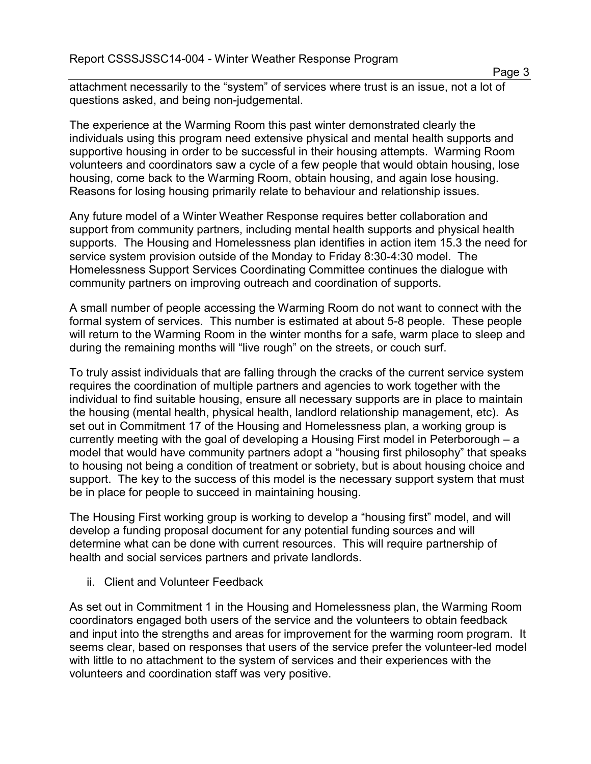attachment necessarily to the "system" of services where trust is an issue, not a lot of questions asked, and being non-judgemental.

The experience at the Warming Room this past winter demonstrated clearly the individuals using this program need extensive physical and mental health supports and supportive housing in order to be successful in their housing attempts. Warming Room volunteers and coordinators saw a cycle of a few people that would obtain housing, lose housing, come back to the Warming Room, obtain housing, and again lose housing. Reasons for losing housing primarily relate to behaviour and relationship issues.

Any future model of a Winter Weather Response requires better collaboration and support from community partners, including mental health supports and physical health supports. The Housing and Homelessness plan identifies in action item 15.3 the need for service system provision outside of the Monday to Friday 8:30-4:30 model. The Homelessness Support Services Coordinating Committee continues the dialogue with community partners on improving outreach and coordination of supports.

A small number of people accessing the Warming Room do not want to connect with the formal system of services. This number is estimated at about 5-8 people. These people will return to the Warming Room in the winter months for a safe, warm place to sleep and during the remaining months will "live rough" on the streets, or couch surf.

To truly assist individuals that are falling through the cracks of the current service system requires the coordination of multiple partners and agencies to work together with the individual to find suitable housing, ensure all necessary supports are in place to maintain the housing (mental health, physical health, landlord relationship management, etc). As set out in Commitment 17 of the Housing and Homelessness plan, a working group is currently meeting with the goal of developing a Housing First model in Peterborough – a model that would have community partners adopt a "housing first philosophy" that speaks to housing not being a condition of treatment or sobriety, but is about housing choice and support. The key to the success of this model is the necessary support system that must be in place for people to succeed in maintaining housing.

The Housing First working group is working to develop a "housing first" model, and will develop a funding proposal document for any potential funding sources and will determine what can be done with current resources. This will require partnership of health and social services partners and private landlords.

ii. Client and Volunteer Feedback

As set out in Commitment 1 in the Housing and Homelessness plan, the Warming Room coordinators engaged both users of the service and the volunteers to obtain feedback and input into the strengths and areas for improvement for the warming room program. It seems clear, based on responses that users of the service prefer the volunteer-led model with little to no attachment to the system of services and their experiences with the volunteers and coordination staff was very positive.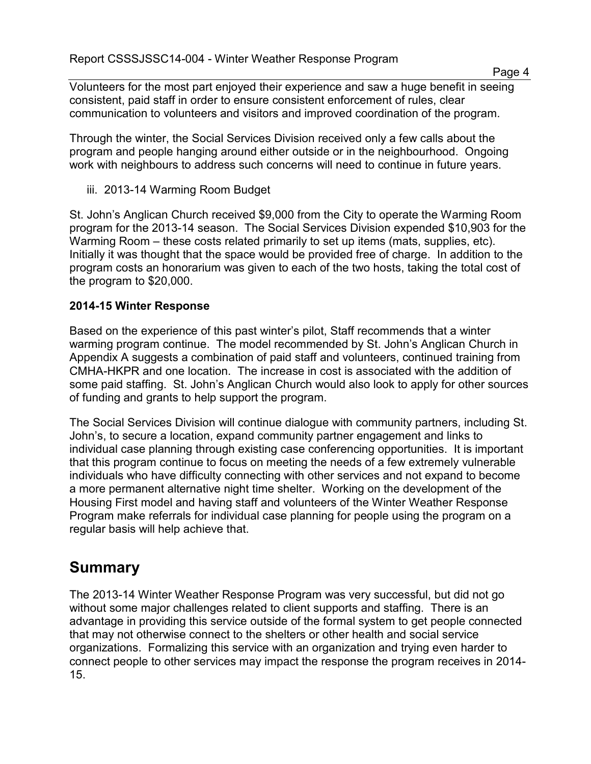Volunteers for the most part enjoyed their experience and saw a huge benefit in seeing consistent, paid staff in order to ensure consistent enforcement of rules, clear communication to volunteers and visitors and improved coordination of the program.

Through the winter, the Social Services Division received only a few calls about the program and people hanging around either outside or in the neighbourhood. Ongoing work with neighbours to address such concerns will need to continue in future years.

iii. 2013-14 Warming Room Budget

St. John's Anglican Church received \$9,000 from the City to operate the Warming Room program for the 2013-14 season. The Social Services Division expended \$10,903 for the Warming Room – these costs related primarily to set up items (mats, supplies, etc). Initially it was thought that the space would be provided free of charge. In addition to the program costs an honorarium was given to each of the two hosts, taking the total cost of the program to \$20,000.

#### **2014-15 Winter Response**

Based on the experience of this past winter's pilot, Staff recommends that a winter warming program continue. The model recommended by St. John's Anglican Church in Appendix A suggests a combination of paid staff and volunteers, continued training from CMHA-HKPR and one location. The increase in cost is associated with the addition of some paid staffing. St. John's Anglican Church would also look to apply for other sources of funding and grants to help support the program.

The Social Services Division will continue dialogue with community partners, including St. John's, to secure a location, expand community partner engagement and links to individual case planning through existing case conferencing opportunities. It is important that this program continue to focus on meeting the needs of a few extremely vulnerable individuals who have difficulty connecting with other services and not expand to become a more permanent alternative night time shelter. Working on the development of the Housing First model and having staff and volunteers of the Winter Weather Response Program make referrals for individual case planning for people using the program on a regular basis will help achieve that.

## **Summary**

The 2013-14 Winter Weather Response Program was very successful, but did not go without some major challenges related to client supports and staffing. There is an advantage in providing this service outside of the formal system to get people connected that may not otherwise connect to the shelters or other health and social service organizations. Formalizing this service with an organization and trying even harder to connect people to other services may impact the response the program receives in 2014- 15.